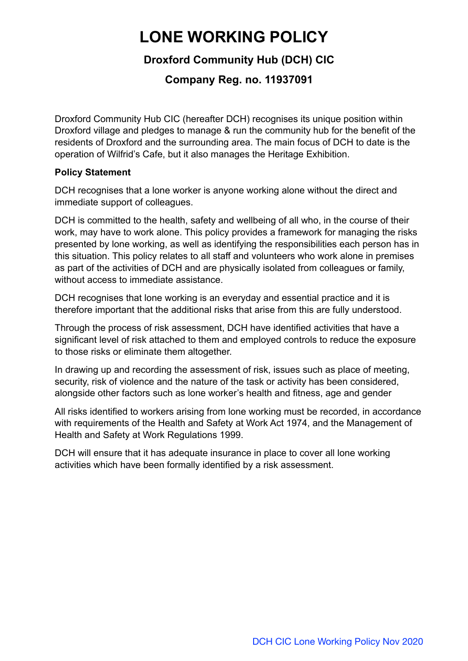# **LONE WORKING POLICY**

# **Droxford Community Hub (DCH) CIC**

# **Company Reg. no. 11937091**

Droxford Community Hub CIC (hereafter DCH) recognises its unique position within Droxford village and pledges to manage & run the community hub for the benefit of the residents of Droxford and the surrounding area. The main focus of DCH to date is the operation of Wilfrid's Cafe, but it also manages the Heritage Exhibition.

#### **Policy Statement**

DCH recognises that a lone worker is anyone working alone without the direct and immediate support of colleagues.

DCH is committed to the health, safety and wellbeing of all who, in the course of their work, may have to work alone. This policy provides a framework for managing the risks presented by lone working, as well as identifying the responsibilities each person has in this situation. This policy relates to all staff and volunteers who work alone in premises as part of the activities of DCH and are physically isolated from colleagues or family, without access to immediate assistance.

DCH recognises that lone working is an everyday and essential practice and it is therefore important that the additional risks that arise from this are fully understood.

Through the process of risk assessment, DCH have identified activities that have a significant level of risk attached to them and employed controls to reduce the exposure to those risks or eliminate them altogether.

In drawing up and recording the assessment of risk, issues such as place of meeting, security, risk of violence and the nature of the task or activity has been considered, alongside other factors such as lone worker's health and fitness, age and gender

All risks identified to workers arising from lone working must be recorded, in accordance with requirements of the Health and Safety at Work Act 1974, and the Management of Health and Safety at Work Regulations 1999.

DCH will ensure that it has adequate insurance in place to cover all lone working activities which have been formally identified by a risk assessment.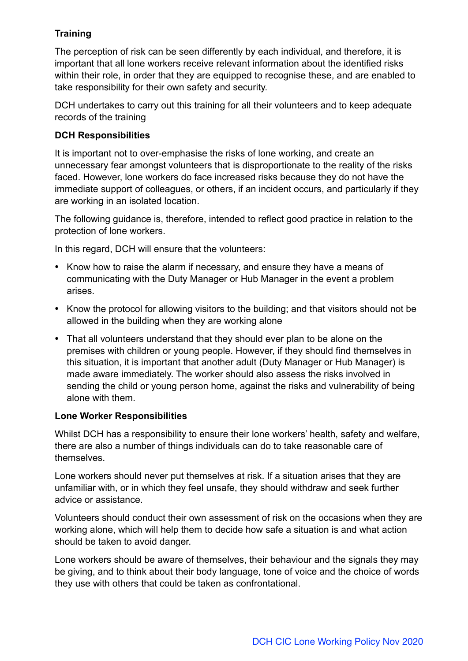### **Training**

The perception of risk can be seen differently by each individual, and therefore, it is important that all lone workers receive relevant information about the identified risks within their role, in order that they are equipped to recognise these, and are enabled to take responsibility for their own safety and security.

DCH undertakes to carry out this training for all their volunteers and to keep adequate records of the training

#### **DCH Responsibilities**

It is important not to over-emphasise the risks of lone working, and create an unnecessary fear amongst volunteers that is disproportionate to the reality of the risks faced. However, lone workers do face increased risks because they do not have the immediate support of colleagues, or others, if an incident occurs, and particularly if they are working in an isolated location.

The following guidance is, therefore, intended to reflect good practice in relation to the protection of lone workers.

In this regard, DCH will ensure that the volunteers:

- Know how to raise the alarm if necessary, and ensure they have a means of communicating with the Duty Manager or Hub Manager in the event a problem arises.
- Know the protocol for allowing visitors to the building; and that visitors should not be allowed in the building when they are working alone
- That all volunteers understand that they should ever plan to be alone on the premises with children or young people. However, if they should find themselves in this situation, it is important that another adult (Duty Manager or Hub Manager) is made aware immediately. The worker should also assess the risks involved in sending the child or young person home, against the risks and vulnerability of being alone with them.

#### **Lone Worker Responsibilities**

Whilst DCH has a responsibility to ensure their lone workers' health, safety and welfare, there are also a number of things individuals can do to take reasonable care of themselves.

Lone workers should never put themselves at risk. If a situation arises that they are unfamiliar with, or in which they feel unsafe, they should withdraw and seek further advice or assistance.

Volunteers should conduct their own assessment of risk on the occasions when they are working alone, which will help them to decide how safe a situation is and what action should be taken to avoid danger.

Lone workers should be aware of themselves, their behaviour and the signals they may be giving, and to think about their body language, tone of voice and the choice of words they use with others that could be taken as confrontational.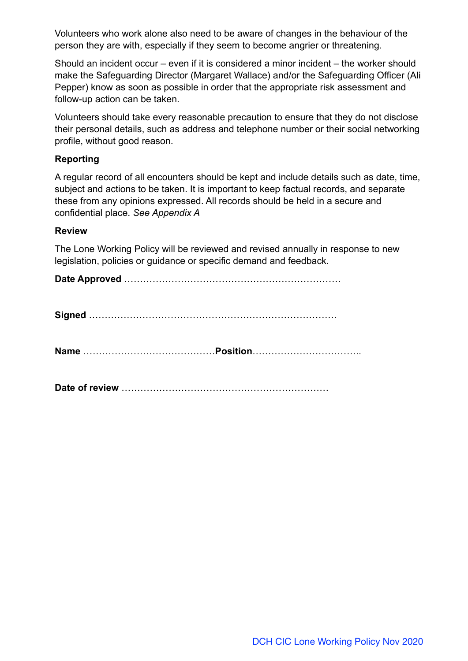Volunteers who work alone also need to be aware of changes in the behaviour of the person they are with, especially if they seem to become angrier or threatening.

Should an incident occur – even if it is considered a minor incident – the worker should make the Safeguarding Director (Margaret Wallace) and/or the Safeguarding Officer (Ali Pepper) know as soon as possible in order that the appropriate risk assessment and follow-up action can be taken.

Volunteers should take every reasonable precaution to ensure that they do not disclose their personal details, such as address and telephone number or their social networking profile, without good reason.

#### **Reporting**

A regular record of all encounters should be kept and include details such as date, time, subject and actions to be taken. It is important to keep factual records, and separate these from any opinions expressed. All records should be held in a secure and confidential place. *See Appendix A*

#### **Review**

The Lone Working Policy will be reviewed and revised annually in response to new legislation, policies or guidance or specific demand and feedback.

**Date Approved** ……………………………………………………………

**Name** ……………………………………**Position**……………………………..

**Date of review** …………………………………………………………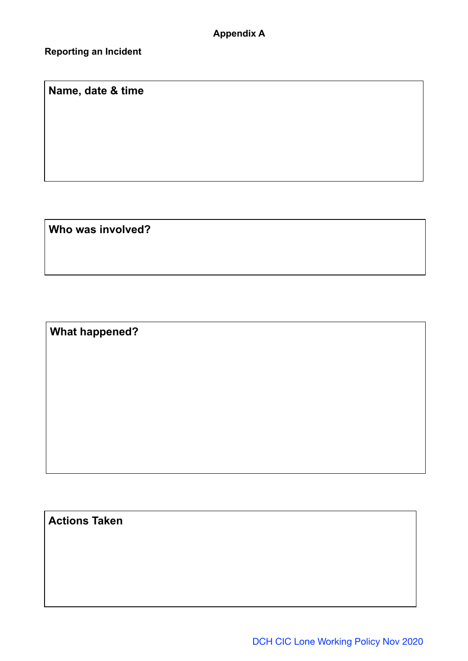**Reporting an Incident**

**Name, date & time** 

**Who was involved?**

**What happened?**

**Actions Taken**